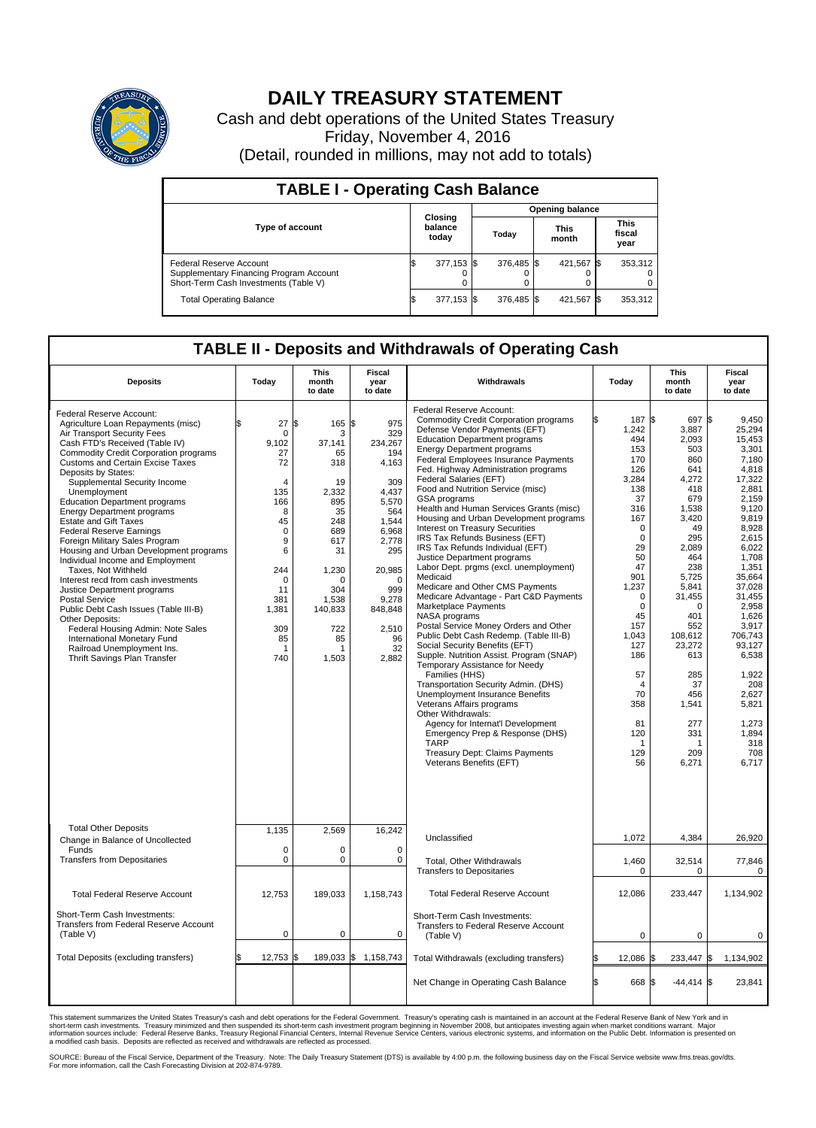

## **DAILY TREASURY STATEMENT**

Cash and debt operations of the United States Treasury Friday, November 4, 2016 (Detail, rounded in millions, may not add to totals)

| <b>TABLE I - Operating Cash Balance</b>                                                                     |  |                             |  |                        |  |                      |      |                               |  |
|-------------------------------------------------------------------------------------------------------------|--|-----------------------------|--|------------------------|--|----------------------|------|-------------------------------|--|
|                                                                                                             |  | Closing<br>balance<br>today |  | <b>Opening balance</b> |  |                      |      |                               |  |
| <b>Type of account</b>                                                                                      |  |                             |  | Today                  |  | <b>This</b><br>month |      | <b>This</b><br>fiscal<br>year |  |
| Federal Reserve Account<br>Supplementary Financing Program Account<br>Short-Term Cash Investments (Table V) |  | 377,153 \$                  |  | 376.485 \$             |  | 421,567              | - 15 | 353,312                       |  |
| <b>Total Operating Balance</b>                                                                              |  | 377,153 \$                  |  | 376.485 \$             |  | 421,567              |      | 353,312                       |  |

## **TABLE II - Deposits and Withdrawals of Operating Cash**

| <b>Deposits</b>                                                                                                                                                                                                                                                                                                                                                                                                                                                                                                                                                                                                                                                                                                                                                                                                                                                                       | Today                                                                                                                                                               | This<br>month<br>to date                                                                                                                                              | Fiscal<br>year<br>to date                                                                                                                                                              | Withdrawals                                                                                                                                                                                                                                                                                                                                                                                                                                                                                                                                                                                                                                                                                                                                                                                                                                                                                                                                                                                                                                                                                                                                                                                                                                                                         | Today                                                                                                                                                                                                                                                                              | <b>This</b><br>month<br>to date                                                                                                                                                                                                                                                       | Fiscal<br>year<br>to date                                                                                                                                                                                                                                                                                         |
|---------------------------------------------------------------------------------------------------------------------------------------------------------------------------------------------------------------------------------------------------------------------------------------------------------------------------------------------------------------------------------------------------------------------------------------------------------------------------------------------------------------------------------------------------------------------------------------------------------------------------------------------------------------------------------------------------------------------------------------------------------------------------------------------------------------------------------------------------------------------------------------|---------------------------------------------------------------------------------------------------------------------------------------------------------------------|-----------------------------------------------------------------------------------------------------------------------------------------------------------------------|----------------------------------------------------------------------------------------------------------------------------------------------------------------------------------------|-------------------------------------------------------------------------------------------------------------------------------------------------------------------------------------------------------------------------------------------------------------------------------------------------------------------------------------------------------------------------------------------------------------------------------------------------------------------------------------------------------------------------------------------------------------------------------------------------------------------------------------------------------------------------------------------------------------------------------------------------------------------------------------------------------------------------------------------------------------------------------------------------------------------------------------------------------------------------------------------------------------------------------------------------------------------------------------------------------------------------------------------------------------------------------------------------------------------------------------------------------------------------------------|------------------------------------------------------------------------------------------------------------------------------------------------------------------------------------------------------------------------------------------------------------------------------------|---------------------------------------------------------------------------------------------------------------------------------------------------------------------------------------------------------------------------------------------------------------------------------------|-------------------------------------------------------------------------------------------------------------------------------------------------------------------------------------------------------------------------------------------------------------------------------------------------------------------|
| Federal Reserve Account:<br>Agriculture Loan Repayments (misc)<br>Air Transport Security Fees<br>Cash FTD's Received (Table IV)<br><b>Commodity Credit Corporation programs</b><br><b>Customs and Certain Excise Taxes</b><br>Deposits by States:<br>Supplemental Security Income<br>Unemployment<br><b>Education Department programs</b><br><b>Energy Department programs</b><br><b>Estate and Gift Taxes</b><br><b>Federal Reserve Earnings</b><br>Foreign Military Sales Program<br>Housing and Urban Development programs<br>Individual Income and Employment<br>Taxes. Not Withheld<br>Interest recd from cash investments<br>Justice Department programs<br><b>Postal Service</b><br>Public Debt Cash Issues (Table III-B)<br>Other Deposits:<br>Federal Housing Admin: Note Sales<br>International Monetary Fund<br>Railroad Unemployment Ins.<br>Thrift Savings Plan Transfer | 27<br>\$<br>0<br>9,102<br>27<br>72<br>$\overline{4}$<br>135<br>166<br>8<br>45<br>$\mathbf 0$<br>9<br>6<br>244<br>$\Omega$<br>11<br>381<br>1,381<br>309<br>85<br>740 | \$<br>165 \$<br>3<br>37,141<br>65<br>318<br>19<br>2,332<br>895<br>35<br>248<br>689<br>617<br>31<br>1,230<br>$\Omega$<br>304<br>1,538<br>140,833<br>722<br>85<br>1,503 | 975<br>329<br>234,267<br>194<br>4,163<br>309<br>4,437<br>5,570<br>564<br>1,544<br>6,968<br>2,778<br>295<br>20,985<br>$\Omega$<br>999<br>9,278<br>848,848<br>2,510<br>96<br>32<br>2,882 | Federal Reserve Account:<br><b>Commodity Credit Corporation programs</b><br>Defense Vendor Payments (EFT)<br><b>Education Department programs</b><br><b>Energy Department programs</b><br>Federal Employees Insurance Payments<br>Fed. Highway Administration programs<br>Federal Salaries (EFT)<br>Food and Nutrition Service (misc)<br>GSA programs<br>Health and Human Services Grants (misc)<br>Housing and Urban Development programs<br>Interest on Treasury Securities<br>IRS Tax Refunds Business (EFT)<br>IRS Tax Refunds Individual (EFT)<br>Justice Department programs<br>Labor Dept. prgms (excl. unemployment)<br>Medicaid<br>Medicare and Other CMS Payments<br>Medicare Advantage - Part C&D Payments<br>Marketplace Payments<br><b>NASA</b> programs<br>Postal Service Money Orders and Other<br>Public Debt Cash Redemp. (Table III-B)<br>Social Security Benefits (EFT)<br>Supple. Nutrition Assist. Program (SNAP)<br>Temporary Assistance for Needy<br>Families (HHS)<br>Transportation Security Admin. (DHS)<br>Unemployment Insurance Benefits<br>Veterans Affairs programs<br>Other Withdrawals:<br>Agency for Internat'l Development<br>Emergency Prep & Response (DHS)<br><b>TARP</b><br><b>Treasury Dept: Claims Payments</b><br>Veterans Benefits (EFT) | 187<br>1,242<br>494<br>153<br>170<br>126<br>3,284<br>138<br>37<br>316<br>167<br>$\mathbf 0$<br>$\mathbf 0$<br>29<br>50<br>47<br>901<br>1,237<br>$\mathbf 0$<br>$\mathbf 0$<br>45<br>157<br>1,043<br>127<br>186<br>57<br>$\overline{4}$<br>70<br>358<br>81<br>120<br>1<br>129<br>56 | \$<br>697 \$<br>3,887<br>2.093<br>503<br>860<br>641<br>4,272<br>418<br>679<br>1,538<br>3,420<br>49<br>295<br>2.089<br>464<br>238<br>5,725<br>5,841<br>31,455<br>$\mathbf 0$<br>401<br>552<br>108,612<br>23,272<br>613<br>285<br>37<br>456<br>1,541<br>277<br>331<br>1<br>209<br>6,271 | 9.450<br>25,294<br>15.453<br>3,301<br>7,180<br>4,818<br>17,322<br>2,881<br>2,159<br>9.120<br>9,819<br>8,928<br>2,615<br>6,022<br>1,708<br>1,351<br>35.664<br>37,028<br>31,455<br>2,958<br>1,626<br>3,917<br>706,743<br>93,127<br>6,538<br>1,922<br>208<br>2,627<br>5,821<br>1,273<br>1.894<br>318<br>708<br>6,717 |
| <b>Total Other Deposits</b><br>Change in Balance of Uncollected                                                                                                                                                                                                                                                                                                                                                                                                                                                                                                                                                                                                                                                                                                                                                                                                                       | 1,135                                                                                                                                                               | 2,569                                                                                                                                                                 | 16,242                                                                                                                                                                                 | Unclassified                                                                                                                                                                                                                                                                                                                                                                                                                                                                                                                                                                                                                                                                                                                                                                                                                                                                                                                                                                                                                                                                                                                                                                                                                                                                        | 1,072                                                                                                                                                                                                                                                                              | 4,384                                                                                                                                                                                                                                                                                 | 26,920                                                                                                                                                                                                                                                                                                            |
| Funds<br><b>Transfers from Depositaries</b>                                                                                                                                                                                                                                                                                                                                                                                                                                                                                                                                                                                                                                                                                                                                                                                                                                           | $\mathbf 0$<br>0                                                                                                                                                    | $\Omega$<br>$\mathbf 0$                                                                                                                                               | $\Omega$<br>0                                                                                                                                                                          | Total, Other Withdrawals<br><b>Transfers to Depositaries</b>                                                                                                                                                                                                                                                                                                                                                                                                                                                                                                                                                                                                                                                                                                                                                                                                                                                                                                                                                                                                                                                                                                                                                                                                                        | 1,460<br>0                                                                                                                                                                                                                                                                         | 32,514<br>$\mathbf 0$                                                                                                                                                                                                                                                                 | 77,846<br>$\mathbf 0$                                                                                                                                                                                                                                                                                             |
| <b>Total Federal Reserve Account</b>                                                                                                                                                                                                                                                                                                                                                                                                                                                                                                                                                                                                                                                                                                                                                                                                                                                  | 12,753                                                                                                                                                              | 189,033                                                                                                                                                               | 1,158,743                                                                                                                                                                              | <b>Total Federal Reserve Account</b>                                                                                                                                                                                                                                                                                                                                                                                                                                                                                                                                                                                                                                                                                                                                                                                                                                                                                                                                                                                                                                                                                                                                                                                                                                                | 12,086                                                                                                                                                                                                                                                                             | 233,447                                                                                                                                                                                                                                                                               | 1,134,902                                                                                                                                                                                                                                                                                                         |
| Short-Term Cash Investments:<br>Transfers from Federal Reserve Account<br>(Table V)                                                                                                                                                                                                                                                                                                                                                                                                                                                                                                                                                                                                                                                                                                                                                                                                   | $\mathbf 0$                                                                                                                                                         | $\mathbf 0$                                                                                                                                                           | $\mathbf 0$                                                                                                                                                                            | Short-Term Cash Investments:<br>Transfers to Federal Reserve Account<br>(Table V)                                                                                                                                                                                                                                                                                                                                                                                                                                                                                                                                                                                                                                                                                                                                                                                                                                                                                                                                                                                                                                                                                                                                                                                                   | $\mathbf 0$                                                                                                                                                                                                                                                                        | 0                                                                                                                                                                                                                                                                                     | $\mathbf 0$                                                                                                                                                                                                                                                                                                       |
| Total Deposits (excluding transfers)                                                                                                                                                                                                                                                                                                                                                                                                                                                                                                                                                                                                                                                                                                                                                                                                                                                  | 12,753 \$                                                                                                                                                           |                                                                                                                                                                       | 189,033 \$ 1,158,743                                                                                                                                                                   | Total Withdrawals (excluding transfers)                                                                                                                                                                                                                                                                                                                                                                                                                                                                                                                                                                                                                                                                                                                                                                                                                                                                                                                                                                                                                                                                                                                                                                                                                                             | 12,086                                                                                                                                                                                                                                                                             | 233,447<br>l\$                                                                                                                                                                                                                                                                        | 1\$<br>1,134,902                                                                                                                                                                                                                                                                                                  |
|                                                                                                                                                                                                                                                                                                                                                                                                                                                                                                                                                                                                                                                                                                                                                                                                                                                                                       |                                                                                                                                                                     |                                                                                                                                                                       |                                                                                                                                                                                        | Net Change in Operating Cash Balance                                                                                                                                                                                                                                                                                                                                                                                                                                                                                                                                                                                                                                                                                                                                                                                                                                                                                                                                                                                                                                                                                                                                                                                                                                                | ß.<br>668 \$                                                                                                                                                                                                                                                                       | $-44,414$ \$                                                                                                                                                                                                                                                                          | 23,841                                                                                                                                                                                                                                                                                                            |

This statement summarizes the United States Treasury's cash and debt operations for the Federal Government. Treasury's operating cash is maintained in an account at the Federal Reserve Bank of New York and in<br>short-term ca

SOURCE: Bureau of the Fiscal Service, Department of the Treasury. Note: The Daily Treasury Statement (DTS) is available by 4:00 p.m. the following business day on the Fiscal Service website www.fms.treas.gov/dts.<br>For more